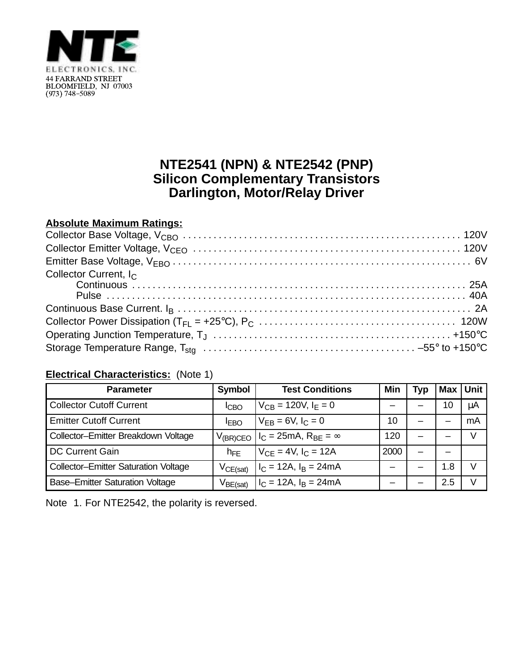

## **NTE2541 (NPN) & NTE2542 (PNP) Silicon Complementary Transistors Darlington, Motor/Relay Driver**

## **Absolute Maximum Ratings:**

| Collector Current, I <sub>C</sub> |  |
|-----------------------------------|--|
|                                   |  |
|                                   |  |
|                                   |  |
|                                   |  |
|                                   |  |
|                                   |  |

## **Electrical Characteristics:** (Note 1)

| <b>Parameter</b>                            | Symbol        | <b>Test Conditions</b>           | Min  | Typ | Max | <b>Unit</b> |
|---------------------------------------------|---------------|----------------------------------|------|-----|-----|-------------|
| <b>Collector Cutoff Current</b>             | <b>ICBO</b>   | $V_{CB} = 120V, I_F = 0$         |      |     | 10  | μA          |
| <b>Emitter Cutoff Current</b>               | <b>IEBO</b>   | $V_{FB} = 6V, I_C = 0$           | 10   |     |     | mA          |
| Collector-Emitter Breakdown Voltage         | $V_{(BR)CEO}$ | $I_C = 25mA$ , $R_{BE} = \infty$ | 120  |     |     |             |
| <b>DC Current Gain</b>                      | $h_{FE}$      | $V_{CF} = 4V$ , $I_C = 12A$      | 2000 |     |     |             |
| <b>Collector-Emitter Saturation Voltage</b> | $V_{CE(sat)}$ | $I_C = 12A$ , $I_B = 24mA$       |      |     | 1.8 |             |
| <b>Base-Emitter Saturation Voltage</b>      | $V_{BE(sat)}$ | $I_C = 12A$ , $I_B = 24mA$       |      |     | 2.5 |             |

Note 1. For NTE2542, the polarity is reversed.